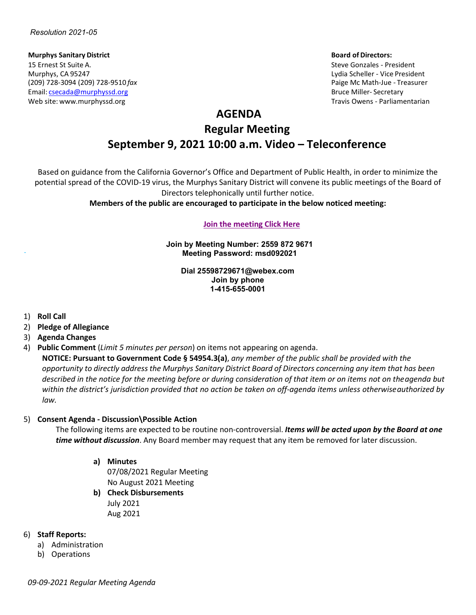#### **Murphys Sanitary District Board of Directors:** 15 Ernest St Suite A. Steve Gonzales - President Murphys, CA 95247 Lydia Scheller - Vice President (209) 728-3094 (209) 728-9510 *fax* Paige Mc Math-Jue - Treasurer Email: [csecada@murphyssd.org](mailto:csecada@murphyssd.org) Bruce Miller- Secretary and Bruce Miller- Secretary Web site: [www.murphyssd.org](http://www.murphyssd.org/) Travis Owens - Parliamentarian Communisty Communisty Communisty Communisty Communisty Communisty Communisty Communisty Communisty Communisty Communisty Communisty Communisty Communisty Communist

## **AGENDA**

# **Regular Meeting September 9, 2021 10:00 a.m. Video – Teleconference**

Based on guidance from the California Governor's Office and Department of Public Health, in order to minimize the potential spread of the COVID-19 virus, the Murphys Sanitary District will convene its public meetings of the Board of Directors telephonically until further notice.

**Members of the public are encouraged to participate in the below noticed meeting:**

#### **[Join the meeting](https://murphyssanitarydistrict.my.webex.com/murphyssanitarydistrict.my/j.php?MTID=ma3852d5cc5f23a37b5d5fef652386f37) Click Here**

**Join by Meeting Number: 2559 872 9671 Meeting Password: msd092021**

> **Dial 25598729671@webex.com Join by phone 1-415-655-0001**

- 1) **Roll Call**
- 2) **Pledge of Allegiance**
- 3) **Agenda Changes**
- 4) **Public Comment** (*Limit 5 minutes per person*) on items not appearing on agenda.

**NOTICE: Pursuant to Government Code § 54954.3(a)**, *any member of the public shall be provided with the* opportunity to directly address the Murphys Sanitary District Board of Directors concerning any item that has been *described in the notice for the meeting before or during consideration of that item or on items not on theagenda but within the district's jurisdiction provided that no action be taken on off-agenda items unless otherwiseauthorized by law.*

#### 5) **Consent Agenda - Discussion\Possible Action**

The following items are expected to be routine non-controversial. *Items will be acted upon by the Board at one time without discussion*. Any Board member may request that any item be removed for later discussion.

#### **a) Minutes**

07/08/2021 Regular Meeting No August 2021 Meeting

**b) Check Disbursements** July 2021 Aug 2021

### 6) **Staff Reports:**

- a) Administration
- b) Operations